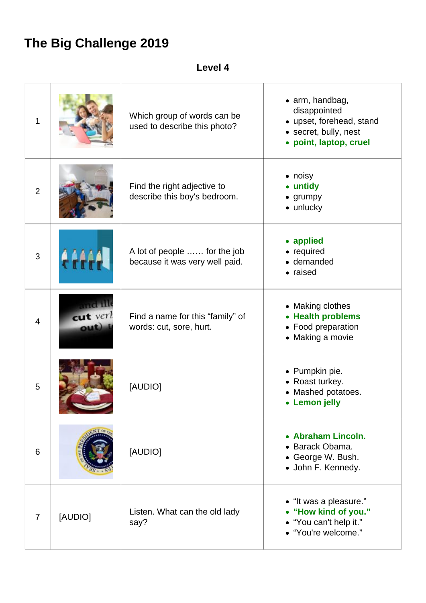## **The Big Challenge 2019**

**Level 4**

| 1              |                        | Which group of words can be<br>used to describe this photo?    | $\bullet$ arm, handbag,<br>disappointed<br>• upset, forehead, stand<br>· secret, bully, nest<br>• point, laptop, cruel |
|----------------|------------------------|----------------------------------------------------------------|------------------------------------------------------------------------------------------------------------------------|
| $\overline{2}$ |                        | Find the right adjective to<br>describe this boy's bedroom.    | $\bullet$ noisy<br>• untidy<br>• grumpy<br>$\bullet$ unlucky                                                           |
| 3              |                        | A lot of people  for the job<br>because it was very well paid. | • applied<br>• required<br>• demanded<br>• raised                                                                      |
| $\overline{4}$ | cut verl<br><b>out</b> | Find a name for this "family" of<br>words: cut, sore, hurt.    | • Making clothes<br>• Health problems<br>• Food preparation<br>• Making a movie                                        |
| 5              |                        | [AUDIO]                                                        | • Pumpkin pie.<br>• Roast turkey.<br>• Mashed potatoes.<br><b>Lemon</b> jelly                                          |
| 6              |                        | [AUDIO]                                                        | • Abraham Lincoln.<br>• Barack Obama.<br>• George W. Bush.<br>• John F. Kennedy.                                       |
| $\overline{7}$ | [AUDIO]                | Listen. What can the old lady<br>say?                          | • "It was a pleasure."<br>• "How kind of you."<br>• "You can't help it."<br>• "You're welcome."                        |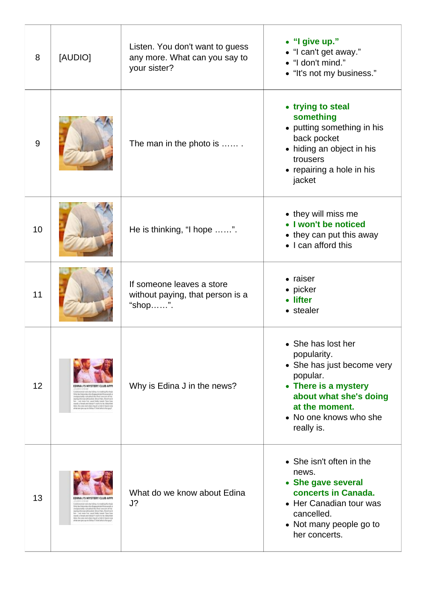| 8  | [AUDIO]                                                                                                                                                                                                                                                                                                                                                                                     | Listen. You don't want to guess<br>any more. What can you say to<br>your sister? | • "I give up."<br>• "I can't get away."<br>• "I don't mind."<br>• "It's not my business."                                                                                               |
|----|---------------------------------------------------------------------------------------------------------------------------------------------------------------------------------------------------------------------------------------------------------------------------------------------------------------------------------------------------------------------------------------------|----------------------------------------------------------------------------------|-----------------------------------------------------------------------------------------------------------------------------------------------------------------------------------------|
| 9  |                                                                                                                                                                                                                                                                                                                                                                                             | The man in the photo is                                                          | • trying to steal<br>something<br>• putting something in his<br>back pocket<br>• hiding an object in his<br>trousers<br>• repairing a hole in his<br>jacket                             |
| 10 |                                                                                                                                                                                                                                                                                                                                                                                             | He is thinking, "I hope ".                                                       | • they will miss me<br>• I won't be noticed<br>• they can put this away<br>• I can afford this                                                                                          |
| 11 |                                                                                                                                                                                                                                                                                                                                                                                             | If someone leaves a store<br>without paying, that person is a<br>"shop".         | • raiser<br>• picker<br>• lifter<br>• stealer                                                                                                                                           |
| 12 | <b>IS MYSTERY CLUB</b><br>eal rock shat follow, his clocking this two<br>Only but belowing the chargest symbology of the components of the components of the components of the first components of the components of the components of the components of the components of the components of the compon                                                                                     | Why is Edina J in the news?                                                      | • She has lost her<br>popularity.<br>• She has just become very<br>popular.<br>• There is a mystery<br>about what she's doing<br>at the moment.<br>• No one knows who she<br>really is. |
| 13 | stand cock shar follows his condition this two<br>Dris auf Monite shrubapamani Monsendra<br>programmiy sanakat da Basi sanom al ha<br>ramgatawaa (Alausia), Shortlen, Businesi<br>for - and were for usual shifty insert. They have<br>reach a book and desire were to be distanted<br>like, the excreminances and a but include care<br>after any package to fallow if liked absolute yapi | What do we know about Edina<br>J?                                                | • She isn't often in the<br>news.<br>• She gave several<br>concerts in Canada.<br>• Her Canadian tour was<br>cancelled.<br>• Not many people go to<br>her concerts.                     |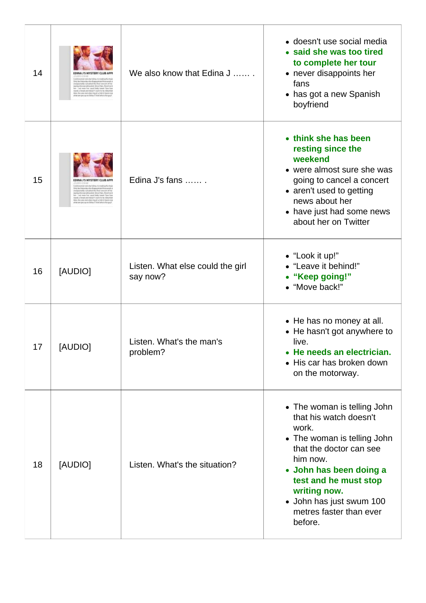| 14 |                                                                  | We also know that Edina J                    | • doesn't use social media<br>• said she was too tired<br>to complete her tour<br>• never disappoints her<br>fans<br>• has got a new Spanish<br>boyfriend                                                                                                                  |
|----|------------------------------------------------------------------|----------------------------------------------|----------------------------------------------------------------------------------------------------------------------------------------------------------------------------------------------------------------------------------------------------------------------------|
| 15 | <b>MYSTERY CLUB AF</b><br>BBC IPM mitchlerindanchiqual technik's | Edina J's fans                               | • think she has been<br>resting since the<br>weekend<br>• were almost sure she was<br>going to cancel a concert<br>• aren't used to getting<br>news about her<br>• have just had some news<br>about her on Twitter                                                         |
| 16 | [AUDIO]                                                          | Listen. What else could the girl<br>say now? | • "Look it up!"<br>• "Leave it behind!"<br>• "Keep going!"<br>• "Move back!"                                                                                                                                                                                               |
| 17 | [AUDIO]                                                          | Listen. What's the man's<br>problem?         | • He has no money at all.<br>• He hasn't got anywhere to<br>live.<br>He needs an electrician.<br>• His car has broken down<br>on the motorway.                                                                                                                             |
| 18 | [AUDIO]                                                          | Listen. What's the situation?                | • The woman is telling John<br>that his watch doesn't<br>work.<br>• The woman is telling John<br>that the doctor can see<br>him now.<br>• John has been doing a<br>test and he must stop<br>writing now.<br>• John has just swum 100<br>metres faster than ever<br>before. |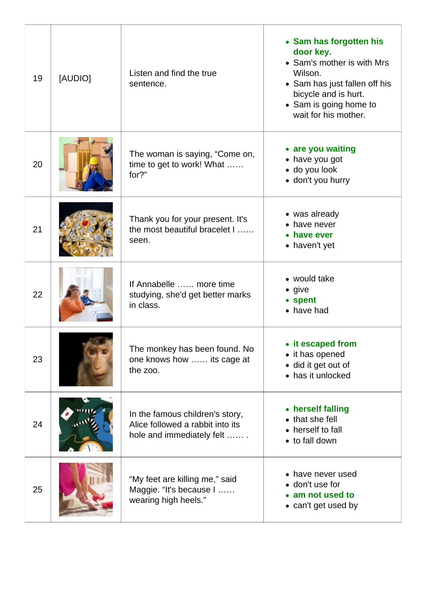| 19 | [AUDIO] | Listen and find the true<br>sentence.                                                            | • Sam has forgotten his<br>door key.<br>• Sam's mother is with Mrs<br>Wilson.<br>• Sam has just fallen off his<br>bicycle and is hurt.<br>• Sam is going home to<br>wait for his mother. |
|----|---------|--------------------------------------------------------------------------------------------------|------------------------------------------------------------------------------------------------------------------------------------------------------------------------------------------|
| 20 |         | The woman is saying, "Come on,<br>time to get to work! What<br>for?"                             | • are you waiting<br>• have you got<br>· do you look<br>• don't you hurry                                                                                                                |
| 21 |         | Thank you for your present. It's<br>the most beautiful bracelet I<br>seen.                       | • was already<br>• have never<br>• have ever<br>• haven't yet                                                                                                                            |
| 22 |         | If Annabelle  more time<br>studying, she'd get better marks<br>in class.                         | • would take<br>$\bullet$ give<br>• spent<br>• have had                                                                                                                                  |
| 23 |         | The monkey has been found. No<br>one knows how  its cage at<br>the zoo.                          | • it escaped from<br>• it has opened<br>· did it get out of<br>• has it unlocked                                                                                                         |
| 24 |         | In the famous children's story,<br>Alice followed a rabbit into its<br>hole and immediately felt | • herself falling<br>• that she fell<br>• herself to fall<br>• to fall down                                                                                                              |
| 25 |         | "My feet are killing me," said<br>Maggie. "It's because I<br>wearing high heels."                | • have never used<br>• don't use for<br>• am not used to<br>• can't get used by                                                                                                          |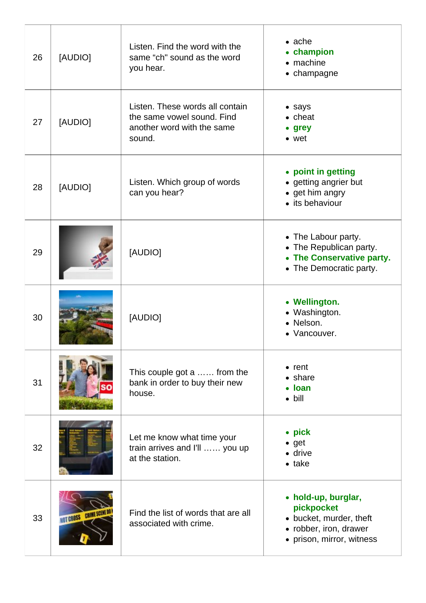| 26 | [AUDIO]                    | Listen. Find the word with the<br>same "ch" sound as the word<br>you hear.                            | $\bullet$ ache<br>• champion<br>$\bullet$ machine<br>• champagne                                                    |
|----|----------------------------|-------------------------------------------------------------------------------------------------------|---------------------------------------------------------------------------------------------------------------------|
| 27 | [AUDIO]                    | Listen. These words all contain<br>the same vowel sound. Find<br>another word with the same<br>sound. | • says<br>$\bullet$ cheat<br>• grey<br>$\bullet$ wet                                                                |
| 28 | [AUDIO]                    | Listen. Which group of words<br>can you hear?                                                         | • point in getting<br>• getting angrier but<br>• get him angry<br>• its behaviour                                   |
| 29 |                            | [AUDIO]                                                                                               | • The Labour party.<br>• The Republican party.<br>• The Conservative party.<br>• The Democratic party.              |
| 30 |                            | [AUDIO]                                                                                               | • Wellington.<br>• Washington.<br>• Nelson.<br>· Vancouver.                                                         |
| 31 |                            | This couple got a  from the<br>bank in order to buy their new<br>house.                               | $\bullet$ rent<br>$\bullet$ share<br>• Ioan<br>$\bullet$ bill                                                       |
| 32 |                            | Let me know what time your<br>train arrives and I'll  you up<br>at the station.                       | $\bullet$ pick<br>$\bullet$ get<br>· drive<br>$\bullet$ take                                                        |
| 33 | <b>NOT CROSS CRIME SCE</b> | Find the list of words that are all<br>associated with crime.                                         | • hold-up, burglar,<br>pickpocket<br>• bucket, murder, theft<br>• robber, iron, drawer<br>• prison, mirror, witness |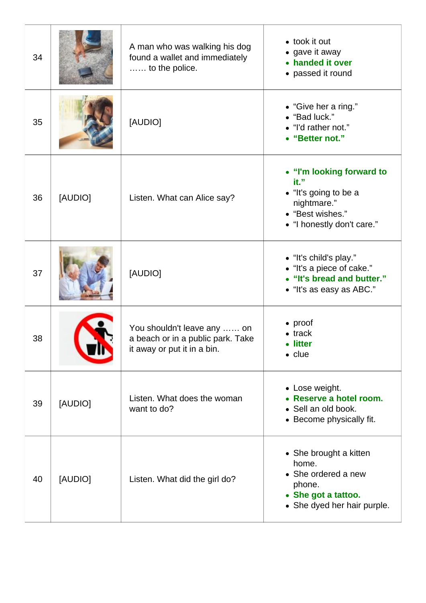| 34 |         | A man who was walking his dog<br>found a wallet and immediately<br>to the police.               | • took it out<br>• gave it away<br>• handed it over<br>• passed it round                                                    |
|----|---------|-------------------------------------------------------------------------------------------------|-----------------------------------------------------------------------------------------------------------------------------|
| 35 |         | [AUDIO]                                                                                         | • "Give her a ring."<br>• "Bad luck."<br>• "I'd rather not."<br>• "Better not."                                             |
| 36 | [AUDIO] | Listen. What can Alice say?                                                                     | • "I'm looking forward to<br>it."<br>· "It's going to be a<br>nightmare."<br>• "Best wishes."<br>• "I honestly don't care." |
| 37 |         | [AUDIO]                                                                                         | • "It's child's play."<br>• "It's a piece of cake."<br>• "It's bread and butter."<br>• "It's as easy as ABC."               |
| 38 |         | You shouldn't leave any  on<br>a beach or in a public park. Take<br>it away or put it in a bin. | $\bullet$ proof<br>$\bullet$ track<br><b>litter</b><br>$\bullet$ clue                                                       |
| 39 | [AUDIO] | Listen. What does the woman<br>want to do?                                                      | • Lose weight.<br>• Reserve a hotel room.<br>• Sell an old book.<br>• Become physically fit.                                |
| 40 | [AUDIO] | Listen. What did the girl do?                                                                   | • She brought a kitten<br>home.<br>• She ordered a new<br>phone.<br>• She got a tattoo.<br>• She dyed her hair purple.      |